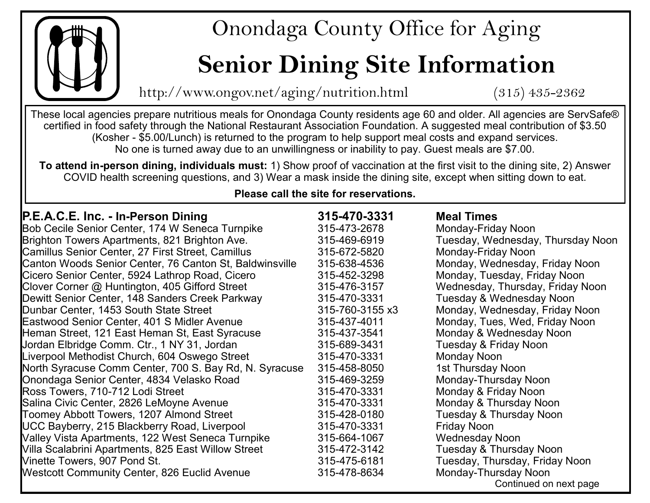

## Onondaga County Office for Aging

# **Senior Dining Site Information**

http://www.ongov.net/aging/nutrition.html (315) 435-2362

These local agencies prepare nutritious meals for Onondaga County residents age 60 and older. All agencies are ServSafe® certified in food safety through the National Restaurant Association Foundation. A suggested meal contribution of \$3.50 (Kosher - \$5.00/Lunch) is returned to the program to help support meal costs and expand services. No one is turned away due to an unwillingness or inability to pay. Guest meals are \$7.00.

**To attend in-person dining, individuals must:** 1) Show proof of vaccination at the first visit to the dining site, 2) Answer COVID health screening questions, and 3) Wear a mask inside the dining site, except when sitting down to eat.

## **Please call the site for reservations.**

| <b>P.E.A.C.E. Inc. - In-Person Dining</b>               | 315-470-3331    | <b>Meal Times</b>                 |
|---------------------------------------------------------|-----------------|-----------------------------------|
| Bob Cecile Senior Center, 174 W Seneca Turnpike         | 315-473-2678    | Monday-Friday Noon                |
| Brighton Towers Apartments, 821 Brighton Ave.           | 315-469-6919    | Tuesday, Wednesday, Thursday Noon |
| Camillus Senior Center, 27 First Street, Camillus       | 315-672-5820    | Monday-Friday Noon                |
| Canton Woods Senior Center, 76 Canton St, Baldwinsville | 315-638-4536    | Monday, Wednesday, Friday Noon    |
| Cicero Senior Center, 5924 Lathrop Road, Cicero         | 315-452-3298    | Monday, Tuesday, Friday Noon      |
| Clover Corner @ Huntington, 405 Gifford Street          | 315-476-3157    | Wednesday, Thursday, Friday Noon  |
| Dewitt Senior Center, 148 Sanders Creek Parkway         | 315-470-3331    | Tuesday & Wednesday Noon          |
| Dunbar Center, 1453 South State Street                  | 315-760-3155 x3 | Monday, Wednesday, Friday Noon    |
| Eastwood Senior Center, 401 S Midler Avenue             | 315-437-4011    | Monday, Tues, Wed, Friday Noon    |
| Heman Street, 121 East Heman St, East Syracuse          | 315-437-3541    | Monday & Wednesday Noon           |
| Jordan Elbridge Comm. Ctr., 1 NY 31, Jordan             | 315-689-3431    | Tuesday & Friday Noon             |
| Liverpool Methodist Church, 604 Oswego Street           | 315-470-3331    | Monday Noon                       |
| North Syracuse Comm Center, 700 S. Bay Rd, N. Syracuse  | 315-458-8050    | 1st Thursday Noon                 |
| Onondaga Senior Center, 4834 Velasko Road               | 315-469-3259    | Monday-Thursday Noon              |
| Ross Towers, 710-712 Lodi Street                        | 315-470-3331    | Monday & Friday Noon              |
| Salina Civic Center, 2826 LeMoyne Avenue                | 315-470-3331    | Monday & Thursday Noon            |
| Toomey Abbott Towers, 1207 Almond Street                | 315-428-0180    | Tuesday & Thursday Noon           |
| UCC Bayberry, 215 Blackberry Road, Liverpool            | 315-470-3331    | <b>Friday Noon</b>                |
| Valley Vista Apartments, 122 West Seneca Turnpike       | 315-664-1067    | <b>Wednesday Noon</b>             |
| Villa Scalabrini Apartments, 825 East Willow Street     | 315-472-3142    | Tuesday & Thursday Noon           |
| Vinette Towers, 907 Pond St.                            | 315-475-6181    | Tuesday, Thursday, Friday Noon    |
| <b>Westcott Community Center, 826 Euclid Avenue</b>     | 315-478-8634    | Monday-Thursday Noon              |
|                                                         |                 | Continued on next page            |